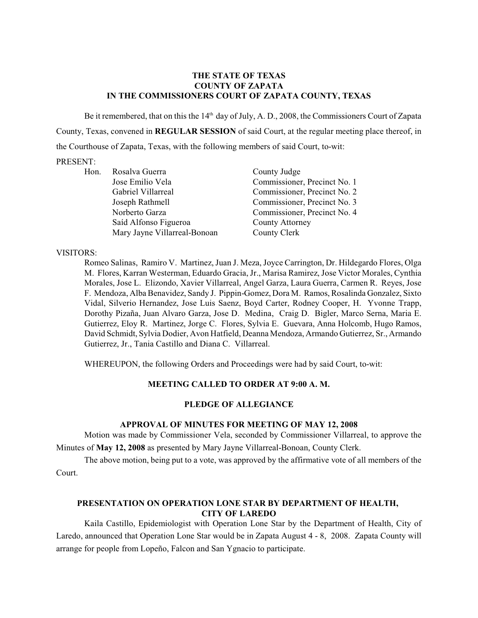## **THE STATE OF TEXAS COUNTY OF ZAPATA IN THE COMMISSIONERS COURT OF ZAPATA COUNTY, TEXAS**

Be it remembered, that on this the  $14<sup>th</sup>$  day of July, A. D., 2008, the Commissioners Court of Zapata County, Texas, convened in **REGULAR SESSION** of said Court, at the regular meeting place thereof, in the Courthouse of Zapata, Texas, with the following members of said Court, to-wit:

### PRESENT:

| Hon. | Rosalva Guerra               | County Judge                 |
|------|------------------------------|------------------------------|
|      | Jose Emilio Vela             | Commissioner, Precinct No. 1 |
|      | Gabriel Villarreal           | Commissioner, Precinct No. 2 |
|      | Joseph Rathmell              | Commissioner, Precinct No. 3 |
|      | Norberto Garza               | Commissioner, Precinct No. 4 |
|      | Saíd Alfonso Figueroa        | County Attorney              |
|      | Mary Jayne Villarreal-Bonoan | County Clerk                 |

## VISITORS:

Romeo Salinas, Ramiro V. Martinez, Juan J. Meza, Joyce Carrington, Dr. Hildegardo Flores, Olga M. Flores, Karran Westerman, Eduardo Gracia, Jr., Marisa Ramirez, Jose Victor Morales, Cynthia Morales, Jose L. Elizondo, Xavier Villarreal, Angel Garza, Laura Guerra, Carmen R. Reyes, Jose F. Mendoza, Alba Benavidez, Sandy J. Pippin-Gomez, Dora M. Ramos, Rosalinda Gonzalez, Sixto Vidal, Silverio Hernandez, Jose Luis Saenz, Boyd Carter, Rodney Cooper, H. Yvonne Trapp, Dorothy Pizaña, Juan Alvaro Garza, Jose D. Medina, Craig D. Bigler, Marco Serna, Maria E. Gutierrez, Eloy R. Martinez, Jorge C. Flores, Sylvia E. Guevara, Anna Holcomb, Hugo Ramos, David Schmidt, Sylvia Dodier, Avon Hatfield, Deanna Mendoza, Armando Gutierrez, Sr., Armando Gutierrez, Jr., Tania Castillo and Diana C. Villarreal.

WHEREUPON, the following Orders and Proceedings were had by said Court, to-wit:

## **MEETING CALLED TO ORDER AT 9:00 A. M.**

### **PLEDGE OF ALLEGIANCE**

### **APPROVAL OF MINUTES FOR MEETING OF MAY 12, 2008**

Motion was made by Commissioner Vela, seconded by Commissioner Villarreal, to approve the Minutes of **May 12, 2008** as presented by Mary Jayne Villarreal-Bonoan, County Clerk.

The above motion, being put to a vote, was approved by the affirmative vote of all members of the Court.

## **PRESENTATION ON OPERATION LONE STAR BY DEPARTMENT OF HEALTH, CITY OF LAREDO**

Kaila Castillo, Epidemiologist with Operation Lone Star by the Department of Health, City of Laredo, announced that Operation Lone Star would be in Zapata August 4 - 8, 2008. Zapata County will arrange for people from Lopeño, Falcon and San Ygnacio to participate.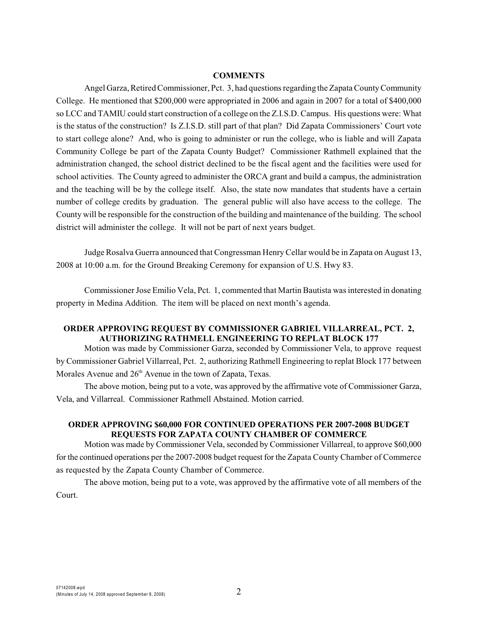#### **COMMENTS**

Angel Garza, Retired Commissioner, Pct. 3, had questions regarding the Zapata County Community College. He mentioned that \$200,000 were appropriated in 2006 and again in 2007 for a total of \$400,000 so LCC and TAMIU could start construction of a college on the Z.I.S.D. Campus. His questions were: What is the status of the construction? Is Z.I.S.D. still part of that plan? Did Zapata Commissioners' Court vote to start college alone? And, who is going to administer or run the college, who is liable and will Zapata Community College be part of the Zapata County Budget? Commissioner Rathmell explained that the administration changed, the school district declined to be the fiscal agent and the facilities were used for school activities. The County agreed to administer the ORCA grant and build a campus, the administration and the teaching will be by the college itself. Also, the state now mandates that students have a certain number of college credits by graduation. The general public will also have access to the college. The County will be responsible for the construction of the building and maintenance of the building. The school district will administer the college. It will not be part of next years budget.

Judge Rosalva Guerra announced that Congressman Henry Cellar would be in Zapata on August 13, 2008 at 10:00 a.m. for the Ground Breaking Ceremony for expansion of U.S. Hwy 83.

Commissioner Jose Emilio Vela, Pct. 1, commented that Martin Bautista was interested in donating property in Medina Addition. The item will be placed on next month's agenda.

## **ORDER APPROVING REQUEST BY COMMISSIONER GABRIEL VILLARREAL, PCT. 2, AUTHORIZING RATHMELL ENGINEERING TO REPLAT BLOCK 177**

Motion was made by Commissioner Garza, seconded by Commissioner Vela, to approve request by Commissioner Gabriel Villarreal, Pct. 2, authorizing Rathmell Engineering to replat Block 177 between Morales Avenue and  $26<sup>th</sup>$  Avenue in the town of Zapata, Texas.

The above motion, being put to a vote, was approved by the affirmative vote of Commissioner Garza, Vela, and Villarreal. Commissioner Rathmell Abstained. Motion carried.

## **ORDER APPROVING \$60,000 FOR CONTINUED OPERATIONS PER 2007-2008 BUDGET REQUESTS FOR ZAPATA COUNTY CHAMBER OF COMMERCE**

Motion was made by Commissioner Vela, seconded by Commissioner Villarreal, to approve \$60,000 for the continued operations per the 2007-2008 budget request for the Zapata County Chamber of Commerce as requested by the Zapata County Chamber of Commerce.

The above motion, being put to a vote, was approved by the affirmative vote of all members of the Court.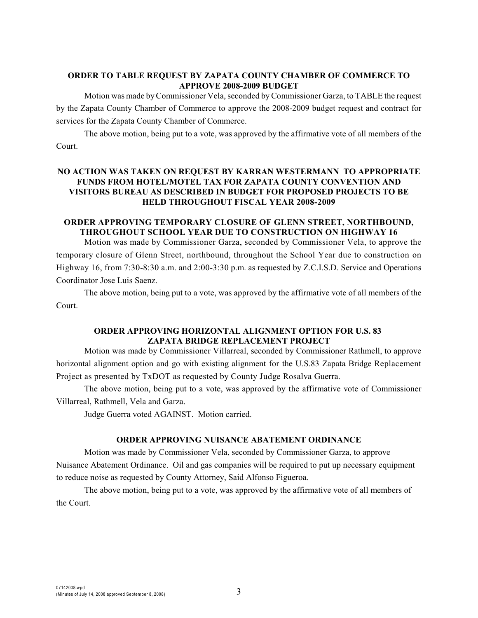## **ORDER TO TABLE REQUEST BY ZAPATA COUNTY CHAMBER OF COMMERCE TO APPROVE 2008-2009 BUDGET**

Motion was made byCommissioner Vela, seconded by Commissioner Garza, to TABLE the request by the Zapata County Chamber of Commerce to approve the 2008-2009 budget request and contract for services for the Zapata County Chamber of Commerce.

The above motion, being put to a vote, was approved by the affirmative vote of all members of the Court.

## **NO ACTION WAS TAKEN ON REQUEST BY KARRAN WESTERMANN TO APPROPRIATE FUNDS FROM HOTEL/MOTEL TAX FOR ZAPATA COUNTY CONVENTION AND VISITORS BUREAU AS DESCRIBED IN BUDGET FOR PROPOSED PROJECTS TO BE HELD THROUGHOUT FISCAL YEAR 2008-2009**

## **ORDER APPROVING TEMPORARY CLOSURE OF GLENN STREET, NORTHBOUND, THROUGHOUT SCHOOL YEAR DUE TO CONSTRUCTION ON HIGHWAY 16**

Motion was made by Commissioner Garza, seconded by Commissioner Vela, to approve the temporary closure of Glenn Street, northbound, throughout the School Year due to construction on Highway 16, from 7:30-8:30 a.m. and 2:00-3:30 p.m. as requested by Z.C.I.S.D. Service and Operations Coordinator Jose Luis Saenz.

The above motion, being put to a vote, was approved by the affirmative vote of all members of the Court.

## **ORDER APPROVING HORIZONTAL ALIGNMENT OPTION FOR U.S. 83 ZAPATA BRIDGE REPLACEMENT PROJECT**

Motion was made by Commissioner Villarreal, seconded by Commissioner Rathmell, to approve horizontal alignment option and go with existing alignment for the U.S.83 Zapata Bridge Replacement Project as presented by TxDOT as requested by County Judge Rosalva Guerra.

The above motion, being put to a vote, was approved by the affirmative vote of Commissioner Villarreal, Rathmell, Vela and Garza.

Judge Guerra voted AGAINST. Motion carried.

## **ORDER APPROVING NUISANCE ABATEMENT ORDINANCE**

Motion was made by Commissioner Vela, seconded by Commissioner Garza, to approve Nuisance Abatement Ordinance. Oil and gas companies will be required to put up necessary equipment to reduce noise as requested by County Attorney, Said Alfonso Figueroa.

The above motion, being put to a vote, was approved by the affirmative vote of all members of the Court.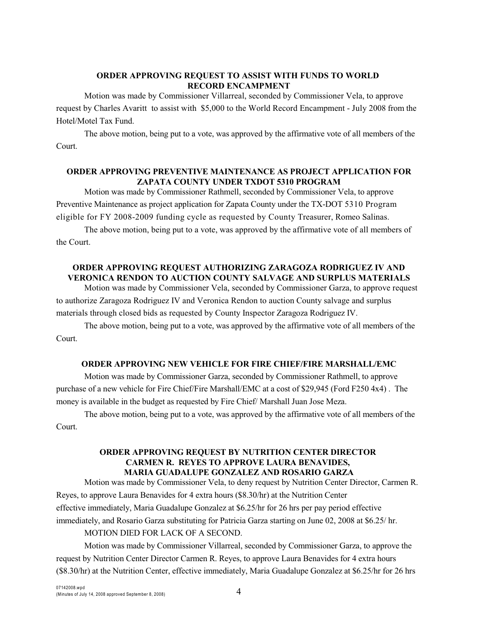## **ORDER APPROVING REQUEST TO ASSIST WITH FUNDS TO WORLD RECORD ENCAMPMENT**

Motion was made by Commissioner Villarreal, seconded by Commissioner Vela, to approve request by Charles Avaritt to assist with \$5,000 to the World Record Encampment - July 2008 from the Hotel/Motel Tax Fund.

The above motion, being put to a vote, was approved by the affirmative vote of all members of the Court.

## **ORDER APPROVING PREVENTIVE MAINTENANCE AS PROJECT APPLICATION FOR ZAPATA COUNTY UNDER TXDOT 5310 PROGRAM**

Motion was made by Commissioner Rathmell, seconded by Commissioner Vela, to approve Preventive Maintenance as project application for Zapata County under the TX-DOT 5310 Program eligible for FY 2008-2009 funding cycle as requested by County Treasurer, Romeo Salinas.

The above motion, being put to a vote, was approved by the affirmative vote of all members of the Court.

## **ORDER APPROVING REQUEST AUTHORIZING ZARAGOZA RODRIGUEZ IV AND VERONICA RENDON TO AUCTION COUNTY SALVAGE AND SURPLUS MATERIALS**

Motion was made by Commissioner Vela, seconded by Commissioner Garza, to approve request to authorize Zaragoza Rodriguez IV and Veronica Rendon to auction County salvage and surplus materials through closed bids as requested by County Inspector Zaragoza Rodriguez IV.

The above motion, being put to a vote, was approved by the affirmative vote of all members of the Court.

### **ORDER APPROVING NEW VEHICLE FOR FIRE CHIEF/FIRE MARSHALL/EMC**

Motion was made by Commissioner Garza, seconded by Commissioner Rathmell, to approve purchase of a new vehicle for Fire Chief/Fire Marshall/EMC at a cost of \$29,945 (Ford F250 4x4) . The money is available in the budget as requested by Fire Chief/ Marshall Juan Jose Meza.

The above motion, being put to a vote, was approved by the affirmative vote of all members of the Court.

### **ORDER APPROVING REQUEST BY NUTRITION CENTER DIRECTOR CARMEN R. REYES TO APPROVE LAURA BENAVIDES, MARIA GUADALUPE GONZALEZ AND ROSARIO GARZA**

Motion was made by Commissioner Vela, to deny request by Nutrition Center Director, Carmen R. Reyes, to approve Laura Benavides for 4 extra hours (\$8.30/hr) at the Nutrition Center effective immediately, Maria Guadalupe Gonzalez at \$6.25/hr for 26 hrs per pay period effective immediately, and Rosario Garza substituting for Patricia Garza starting on June 02, 2008 at \$6.25/ hr.

## MOTION DIED FOR LACK OF A SECOND.

Motion was made by Commissioner Villarreal, seconded by Commissioner Garza, to approve the request by Nutrition Center Director Carmen R. Reyes, to approve Laura Benavides for 4 extra hours (\$8.30/hr) at the Nutrition Center, effective immediately, Maria Guadalupe Gonzalez at \$6.25/hr for 26 hrs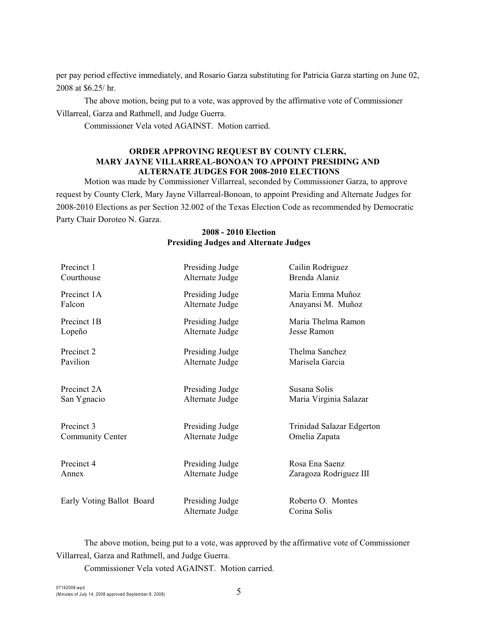per pay period effective immediately, and Rosario Garza substituting for Patricia Garza starting on June 02, 2008 at \$6.25/ hr.

The above motion, being put to a vote, was approved by the affirmative vote of Commissioner Villarreal, Garza and Rathmell, and Judge Guerra.

Commissioner Vela voted AGAINST. Motion carried.

#### **ORDER APPROVING REQUEST BY COUNTY CLERK, MARY JAYNE VILLARREAL-BONOAN TO APPOINT PRESIDING AND ALTERNATE JUDGES FOR 2008-2010 ELECTIONS**

Motion was made by Commissioner Villarreal, seconded by Commissioner Garza, to approve request by County Clerk, Mary Jayne Villarreal-Bonoan, to appoint Presiding and Alternate Judges for 2008-2010 Elections as per Section 32.002 of the Texas Election Code as recommended by Democratic Party Chair Doroteo N. Garza.

| Precinct 1                | Presiding Judge                    | Cailin Rodriguez                  |
|---------------------------|------------------------------------|-----------------------------------|
| Courthouse                | Alternate Judge                    | Brenda Alaniz                     |
| Precinct 1A               | Presiding Judge                    | Maria Emma Muñoz                  |
| Falcon                    | Alternate Judge                    | Anayansi M. Muñoz                 |
| Precinct 1B               | Presiding Judge                    | Maria Thelma Ramon                |
| Lopeño                    | Alternate Judge                    | Jesse Ramon                       |
| Precinct 2                | Presiding Judge                    | Thelma Sanchez                    |
| Pavilion                  | Alternate Judge                    | Marisela Garcia                   |
| Precinct 2A               | Presiding Judge                    | Susana Solis                      |
| San Ygnacio               | Alternate Judge                    | Maria Virginia Salazar            |
| Precinct 3                | Presiding Judge                    | Trinidad Salazar Edgerton         |
| Community Center          | Alternate Judge                    | Omelia Zapata                     |
| Precinct 4                | Presiding Judge                    | Rosa Ena Saenz                    |
| Annex                     | Alternate Judge                    | Zaragoza Rodriguez III            |
| Early Voting Ballot Board | Presiding Judge<br>Alternate Judge | Roberto O. Montes<br>Corina Solis |

### **2008 - 2010 Election Presiding Judges and Alternate Judges**

The above motion, being put to a vote, was approved by the affirmative vote of Commissioner Villarreal, Garza and Rathmell, and Judge Guerra.

Commissioner Vela voted AGAINST. Motion carried.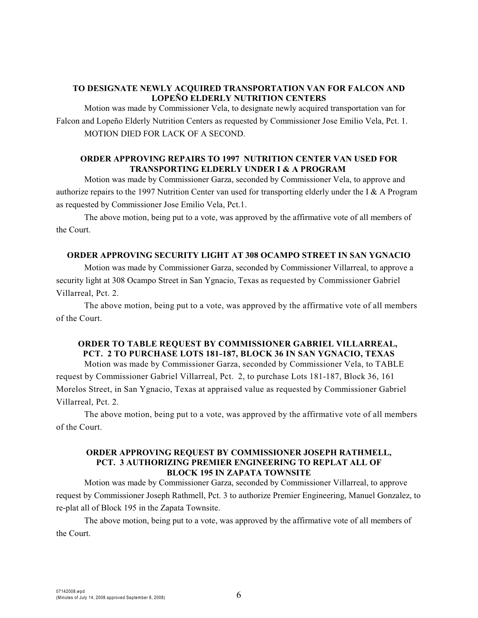## **TO DESIGNATE NEWLY ACQUIRED TRANSPORTATION VAN FOR FALCON AND LOPEÑO ELDERLY NUTRITION CENTERS**

Motion was made by Commissioner Vela, to designate newly acquired transportation van for Falcon and Lopeño Elderly Nutrition Centers as requested by Commissioner Jose Emilio Vela, Pct. 1. MOTION DIED FOR LACK OF A SECOND.

### **ORDER APPROVING REPAIRS TO 1997 NUTRITION CENTER VAN USED FOR TRANSPORTING ELDERLY UNDER I & A PROGRAM**

Motion was made by Commissioner Garza, seconded by Commissioner Vela, to approve and authorize repairs to the 1997 Nutrition Center van used for transporting elderly under the I & A Program as requested by Commissioner Jose Emilio Vela, Pct.1.

The above motion, being put to a vote, was approved by the affirmative vote of all members of the Court.

#### **ORDER APPROVING SECURITY LIGHT AT 308 OCAMPO STREET IN SAN YGNACIO**

Motion was made by Commissioner Garza, seconded by Commissioner Villarreal, to approve a security light at 308 Ocampo Street in San Ygnacio, Texas as requested by Commissioner Gabriel Villarreal, Pct. 2.

The above motion, being put to a vote, was approved by the affirmative vote of all members of the Court.

## **ORDER TO TABLE REQUEST BY COMMISSIONER GABRIEL VILLARREAL, PCT. 2 TO PURCHASE LOTS 181-187, BLOCK 36 IN SAN YGNACIO, TEXAS**

Motion was made by Commissioner Garza, seconded by Commissioner Vela, to TABLE request by Commissioner Gabriel Villarreal, Pct. 2, to purchase Lots 181-187, Block 36, 161 Morelos Street, in San Ygnacio, Texas at appraised value as requested by Commissioner Gabriel Villarreal, Pct. 2.

The above motion, being put to a vote, was approved by the affirmative vote of all members of the Court.

## **ORDER APPROVING REQUEST BY COMMISSIONER JOSEPH RATHMELL, PCT. 3 AUTHORIZING PREMIER ENGINEERING TO REPLAT ALL OF BLOCK 195 IN ZAPATA TOWNSITE**

Motion was made by Commissioner Garza, seconded by Commissioner Villarreal, to approve request by Commissioner Joseph Rathmell, Pct. 3 to authorize Premier Engineering, Manuel Gonzalez, to re-plat all of Block 195 in the Zapata Townsite.

The above motion, being put to a vote, was approved by the affirmative vote of all members of the Court.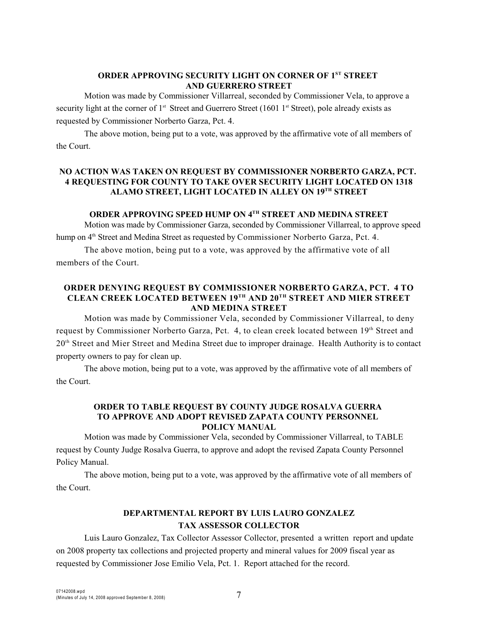## **ORDER APPROVING SECURITY LIGHT ON CORNER OF 1ST STREET AND GUERRERO STREET**

Motion was made by Commissioner Villarreal, seconded by Commissioner Vela, to approve a security light at the corner of  $1<sup>st</sup>$  Street and Guerrero Street (1601  $1<sup>st</sup>$  Street), pole already exists as requested by Commissioner Norberto Garza, Pct. 4.

The above motion, being put to a vote, was approved by the affirmative vote of all members of the Court.

## **NO ACTION WAS TAKEN ON REQUEST BY COMMISSIONER NORBERTO GARZA, PCT. 4 REQUESTING FOR COUNTY TO TAKE OVER SECURITY LIGHT LOCATED ON 1318** ALAMO STREET, LIGHT LOCATED IN ALLEY ON 19<sup>TH</sup> STREET

## **ORDER APPROVING SPEED HUMP ON 4TH STREET AND MEDINA STREET**

Motion was made by Commissioner Garza, seconded by Commissioner Villarreal, to approve speed hump on 4<sup>th</sup> Street and Medina Street as requested by Commissioner Norberto Garza, Pct. 4.

The above motion, being put to a vote, was approved by the affirmative vote of all members of the Court.

## **ORDER DENYING REQUEST BY COMMISSIONER NORBERTO GARZA, PCT. 4 TO CLEAN CREEK LOCATED BETWEEN 19TH AND 20TH STREET AND MIER STREET AND MEDINA STREET**

Motion was made by Commissioner Vela, seconded by Commissioner Villarreal, to deny request by Commissioner Norberto Garza, Pct. 4, to clean creek located between 19<sup>th</sup> Street and 20<sup>th</sup> Street and Mier Street and Medina Street due to improper drainage. Health Authority is to contact property owners to pay for clean up.

The above motion, being put to a vote, was approved by the affirmative vote of all members of the Court.

### **ORDER TO TABLE REQUEST BY COUNTY JUDGE ROSALVA GUERRA TO APPROVE AND ADOPT REVISED ZAPATA COUNTY PERSONNEL POLICY MANUAL**

Motion was made by Commissioner Vela, seconded by Commissioner Villarreal, to TABLE request by County Judge Rosalva Guerra, to approve and adopt the revised Zapata County Personnel Policy Manual.

The above motion, being put to a vote, was approved by the affirmative vote of all members of the Court.

# **DEPARTMENTAL REPORT BY LUIS LAURO GONZALEZ TAX ASSESSOR COLLECTOR**

Luis Lauro Gonzalez, Tax Collector Assessor Collector, presented a written report and update on 2008 property tax collections and projected property and mineral values for 2009 fiscal year as requested by Commissioner Jose Emilio Vela, Pct. 1. Report attached for the record.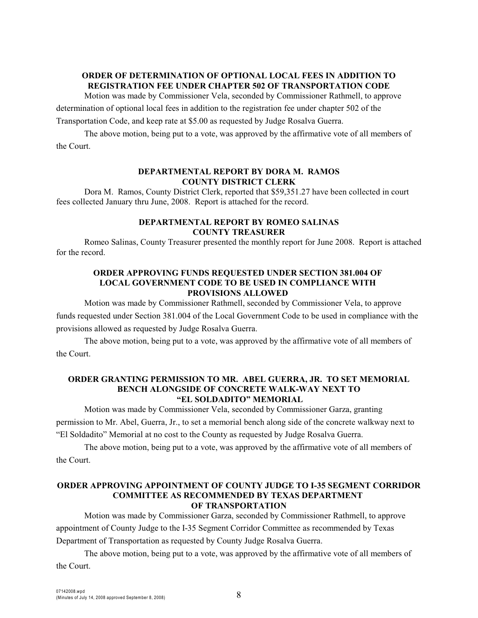## **ORDER OF DETERMINATION OF OPTIONAL LOCAL FEES IN ADDITION TO REGISTRATION FEE UNDER CHAPTER 502 OF TRANSPORTATION CODE**

Motion was made by Commissioner Vela, seconded by Commissioner Rathmell, to approve

determination of optional local fees in addition to the registration fee under chapter 502 of the

Transportation Code, and keep rate at \$5.00 as requested by Judge Rosalva Guerra.

The above motion, being put to a vote, was approved by the affirmative vote of all members of the Court.

#### **DEPARTMENTAL REPORT BY DORA M. RAMOS COUNTY DISTRICT CLERK**

Dora M. Ramos, County District Clerk, reported that \$59,351.27 have been collected in court fees collected January thru June, 2008. Report is attached for the record.

#### **DEPARTMENTAL REPORT BY ROMEO SALINAS COUNTY TREASURER**

Romeo Salinas, County Treasurer presented the monthly report for June 2008. Report is attached for the record.

### **ORDER APPROVING FUNDS REQUESTED UNDER SECTION 381.004 OF LOCAL GOVERNMENT CODE TO BE USED IN COMPLIANCE WITH PROVISIONS ALLOWED**

Motion was made by Commissioner Rathmell, seconded by Commissioner Vela, to approve funds requested under Section 381.004 of the Local Government Code to be used in compliance with the provisions allowed as requested by Judge Rosalva Guerra.

The above motion, being put to a vote, was approved by the affirmative vote of all members of the Court.

#### **ORDER GRANTING PERMISSION TO MR. ABEL GUERRA, JR. TO SET MEMORIAL BENCH ALONGSIDE OF CONCRETE WALK-WAY NEXT TO "EL SOLDADITO" MEMORIAL**

Motion was made by Commissioner Vela, seconded by Commissioner Garza, granting permission to Mr. Abel, Guerra, Jr., to set a memorial bench along side of the concrete walkway next to "El Soldadito" Memorial at no cost to the County as requested by Judge Rosalva Guerra.

The above motion, being put to a vote, was approved by the affirmative vote of all members of the Court.

### **ORDER APPROVING APPOINTMENT OF COUNTY JUDGE TO I-35 SEGMENT CORRIDOR COMMITTEE AS RECOMMENDED BY TEXAS DEPARTMENT OF TRANSPORTATION**

Motion was made by Commissioner Garza, seconded by Commissioner Rathmell, to approve appointment of County Judge to the I-35 Segment Corridor Committee as recommended by Texas Department of Transportation as requested by County Judge Rosalva Guerra.

The above motion, being put to a vote, was approved by the affirmative vote of all members of the Court.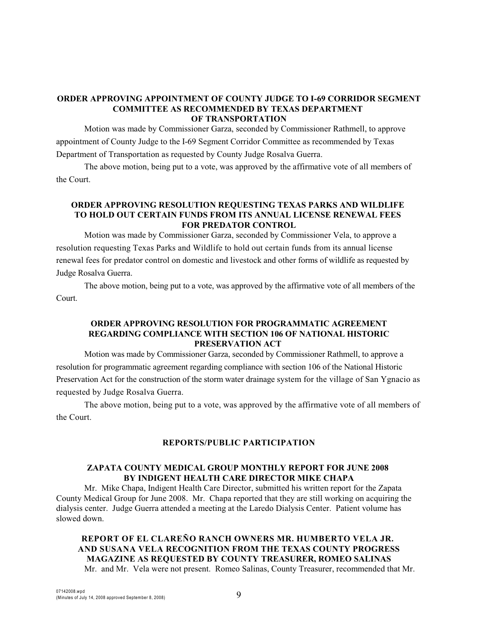### **ORDER APPROVING APPOINTMENT OF COUNTY JUDGE TO I-69 CORRIDOR SEGMENT COMMITTEE AS RECOMMENDED BY TEXAS DEPARTMENT OF TRANSPORTATION**

Motion was made by Commissioner Garza, seconded by Commissioner Rathmell, to approve appointment of County Judge to the I-69 Segment Corridor Committee as recommended by Texas Department of Transportation as requested by County Judge Rosalva Guerra.

The above motion, being put to a vote, was approved by the affirmative vote of all members of the Court.

## **ORDER APPROVING RESOLUTION REQUESTING TEXAS PARKS AND WILDLIFE TO HOLD OUT CERTAIN FUNDS FROM ITS ANNUAL LICENSE RENEWAL FEES FOR PREDATOR CONTROL**

Motion was made by Commissioner Garza, seconded by Commissioner Vela, to approve a resolution requesting Texas Parks and Wildlife to hold out certain funds from its annual license renewal fees for predator control on domestic and livestock and other forms of wildlife as requested by Judge Rosalva Guerra.

The above motion, being put to a vote, was approved by the affirmative vote of all members of the Court.

### **ORDER APPROVING RESOLUTION FOR PROGRAMMATIC AGREEMENT REGARDING COMPLIANCE WITH SECTION 106 OF NATIONAL HISTORIC PRESERVATION ACT**

Motion was made by Commissioner Garza, seconded by Commissioner Rathmell, to approve a resolution for programmatic agreement regarding compliance with section 106 of the National Historic Preservation Act for the construction of the storm water drainage system for the village of San Ygnacio as requested by Judge Rosalva Guerra.

The above motion, being put to a vote, was approved by the affirmative vote of all members of the Court.

### **REPORTS/PUBLIC PARTICIPATION**

## **ZAPATA COUNTY MEDICAL GROUP MONTHLY REPORT FOR JUNE 2008 BY INDIGENT HEALTH CARE DIRECTOR MIKE CHAPA**

Mr. Mike Chapa, Indigent Health Care Director, submitted his written report for the Zapata County Medical Group for June 2008. Mr. Chapa reported that they are still working on acquiring the dialysis center. Judge Guerra attended a meeting at the Laredo Dialysis Center. Patient volume has slowed down.

**REPORT OF EL CLAREÑO RANCH OWNERS MR. HUMBERTO VELA JR. AND SUSANA VELA RECOGNITION FROM THE TEXAS COUNTY PROGRESS MAGAZINE AS REQUESTED BY COUNTY TREASURER, ROMEO SALINAS** Mr. and Mr. Vela were not present. Romeo Salinas, County Treasurer, recommended that Mr.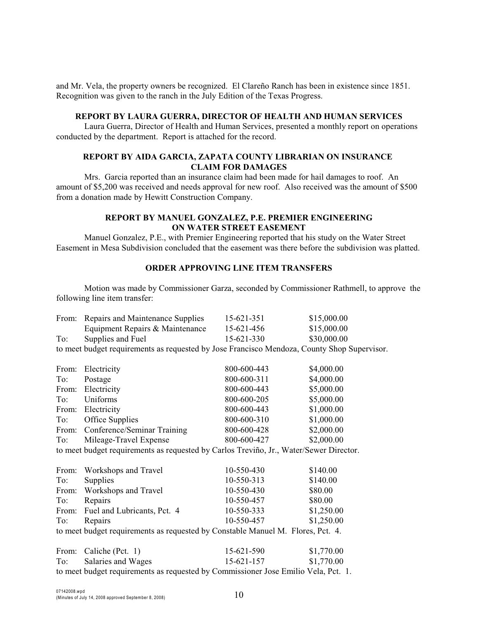and Mr. Vela, the property owners be recognized. El Clareño Ranch has been in existence since 1851. Recognition was given to the ranch in the July Edition of the Texas Progress.

#### **REPORT BY LAURA GUERRA, DIRECTOR OF HEALTH AND HUMAN SERVICES**

Laura Guerra, Director of Health and Human Services, presented a monthly report on operations conducted by the department. Report is attached for the record.

#### **REPORT BY AIDA GARCIA, ZAPATA COUNTY LIBRARIAN ON INSURANCE CLAIM FOR DAMAGES**

Mrs. Garcia reported than an insurance claim had been made for hail damages to roof. An amount of \$5,200 was received and needs approval for new roof. Also received was the amount of \$500 from a donation made by Hewitt Construction Company.

## **REPORT BY MANUEL GONZALEZ, P.E. PREMIER ENGINEERING ON WATER STREET EASEMENT**

Manuel Gonzalez, P.E., with Premier Engineering reported that his study on the Water Street Easement in Mesa Subdivision concluded that the easement was there before the subdivision was platted.

### **ORDER APPROVING LINE ITEM TRANSFERS**

Motion was made by Commissioner Garza, seconded by Commissioner Rathmell, to approve the following line item transfer:

|                                                                                        | From: Repairs and Maintenance Supplies                                                      | 15-621-351       | \$15,000.00 |  |  |
|----------------------------------------------------------------------------------------|---------------------------------------------------------------------------------------------|------------------|-------------|--|--|
|                                                                                        | Equipment Repairs & Maintenance                                                             | 15-621-456       | \$15,000.00 |  |  |
| To:                                                                                    | Supplies and Fuel                                                                           | 15-621-330       | \$30,000.00 |  |  |
|                                                                                        | to meet budget requirements as requested by Jose Francisco Mendoza, County Shop Supervisor. |                  |             |  |  |
|                                                                                        |                                                                                             |                  |             |  |  |
| From:                                                                                  | Electricity                                                                                 | 800-600-443      | \$4,000.00  |  |  |
| To:                                                                                    | Postage                                                                                     | 800-600-311      | \$4,000.00  |  |  |
| From:                                                                                  | Electricity                                                                                 | 800-600-443      | \$5,000.00  |  |  |
| To:                                                                                    | Uniforms                                                                                    | 800-600-205      | \$5,000.00  |  |  |
|                                                                                        | From: Electricity                                                                           | 800-600-443      | \$1,000.00  |  |  |
| To:                                                                                    | Office Supplies                                                                             | 800-600-310      | \$1,000.00  |  |  |
|                                                                                        | From: Conference/Seminar Training                                                           | 800-600-428      | \$2,000.00  |  |  |
| To:                                                                                    | Mileage-Travel Expense                                                                      | 800-600-427      | \$2,000.00  |  |  |
| to meet budget requirements as requested by Carlos Treviño, Jr., Water/Sewer Director. |                                                                                             |                  |             |  |  |
|                                                                                        |                                                                                             |                  |             |  |  |
|                                                                                        | From: Workshops and Travel                                                                  | 10-550-430       | \$140.00    |  |  |
| To:                                                                                    | Supplies                                                                                    | 10-550-313       | \$140.00    |  |  |
|                                                                                        | From: Workshops and Travel                                                                  | 10-550-430       | \$80.00     |  |  |
| To:                                                                                    | Repairs                                                                                     | 10-550-457       | \$80.00     |  |  |
| From:                                                                                  | Fuel and Lubricants, Pct. 4                                                                 | 10-550-333       | \$1,250.00  |  |  |
| To:                                                                                    | Repairs                                                                                     | 10-550-457       | \$1,250.00  |  |  |
| to meet budget requirements as requested by Constable Manuel M. Flores, Pct. 4.        |                                                                                             |                  |             |  |  |
|                                                                                        |                                                                                             |                  |             |  |  |
| From:                                                                                  | Caliche (Pct. 1)                                                                            | 15-621-590       | \$1,770.00  |  |  |
| To:                                                                                    | Salaries and Wages                                                                          | $15 - 621 - 157$ | \$1,770.00  |  |  |
| to meet budget requirements as requested by Commissioner Jose Emilio Vela, Pct. 1.     |                                                                                             |                  |             |  |  |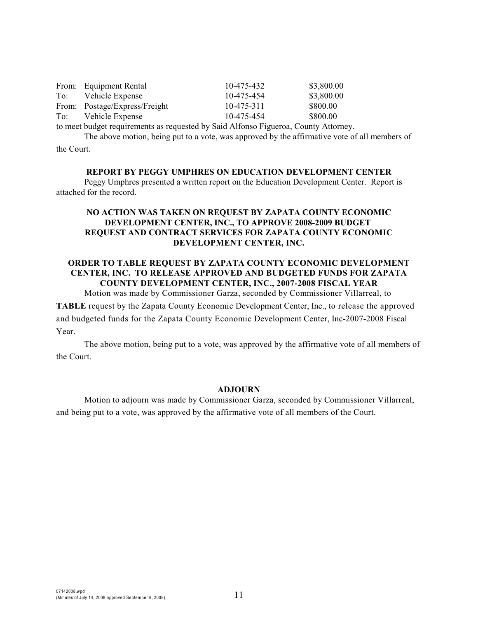|     | From: Equipment Rental        | 10-475-432 | \$3,800.00 |
|-----|-------------------------------|------------|------------|
|     | To: Vehicle Expense           | 10-475-454 | \$3,800.00 |
|     | From: Postage/Express/Freight | 10-475-311 | \$800.00   |
| To: | Vehicle Expense               | 10-475-454 | \$800.00   |
|     |                               |            |            |

to meet budget requirements as requested by Said Alfonso Figueroa, County Attorney.

The above motion, being put to a vote, was approved by the affirmative vote of all members of the Court.

**REPORT BY PEGGY UMPHRES ON EDUCATION DEVELOPMENT CENTER**

Peggy Umphres presented a written report on the Education Development Center. Report is attached for the record.

## **NO ACTION WAS TAKEN ON REQUEST BY ZAPATA COUNTY ECONOMIC DEVELOPMENT CENTER, INC., TO APPROVE 2008-2009 BUDGET REQUEST AND CONTRACT SERVICES FOR ZAPATA COUNTY ECONOMIC DEVELOPMENT CENTER, INC.**

## **ORDER TO TABLE REQUEST BY ZAPATA COUNTY ECONOMIC DEVELOPMENT CENTER, INC. TO RELEASE APPROVED AND BUDGETED FUNDS FOR ZAPATA COUNTY DEVELOPMENT CENTER, INC., 2007-2008 FISCAL YEAR**

Motion was made by Commissioner Garza, seconded by Commissioner Villarreal, to

**TABLE** request by the Zapata County Economic Development Center, Inc., to release the approved and budgeted funds for the Zapata County Economic Development Center, Inc-2007-2008 Fiscal Year.

The above motion, being put to a vote, was approved by the affirmative vote of all members of the Court.

#### **ADJOURN**

Motion to adjourn was made by Commissioner Garza, seconded by Commissioner Villarreal, and being put to a vote, was approved by the affirmative vote of all members of the Court.